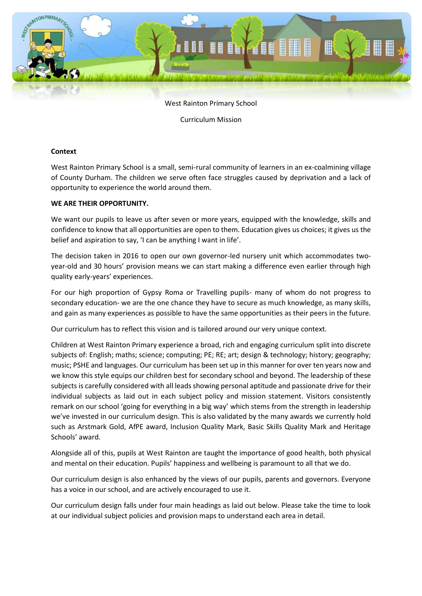

West Rainton Primary School

Curriculum Mission

#### **Context**

West Rainton Primary School is a small, semi-rural community of learners in an ex-coalmining village of County Durham. The children we serve often face struggles caused by deprivation and a lack of opportunity to experience the world around them.

#### **WE ARE THEIR OPPORTUNITY.**

We want our pupils to leave us after seven or more years, equipped with the knowledge, skills and confidence to know that all opportunities are open to them. Education gives us choices; it gives us the belief and aspiration to say, 'I can be anything I want in life'.

The decision taken in 2016 to open our own governor-led nursery unit which accommodates twoyear-old and 30 hours' provision means we can start making a difference even earlier through high quality early-years' experiences.

For our high proportion of Gypsy Roma or Travelling pupils- many of whom do not progress to secondary education- we are the one chance they have to secure as much knowledge, as many skills, and gain as many experiences as possible to have the same opportunities as their peers in the future.

Our curriculum has to reflect this vision and is tailored around our very unique context.

Children at West Rainton Primary experience a broad, rich and engaging curriculum split into discrete subjects of: English; maths; science; computing; PE; RE; art; design & technology; history; geography; music; PSHE and languages. Our curriculum has been set up in this manner for over ten years now and we know this style equips our children best for secondary school and beyond. The leadership of these subjects is carefully considered with all leads showing personal aptitude and passionate drive for their individual subjects as laid out in each subject policy and mission statement. Visitors consistently remark on our school 'going for everything in a big way' which stems from the strength in leadership we've invested in our curriculum design. This is also validated by the many awards we currently hold such as Arstmark Gold, AfPE award, Inclusion Quality Mark, Basic Skills Quality Mark and Heritage Schools' award.

Alongside all of this, pupils at West Rainton are taught the importance of good health, both physical and mental on their education. Pupils' happiness and wellbeing is paramount to all that we do.

Our curriculum design is also enhanced by the views of our pupils, parents and governors. Everyone has a voice in our school, and are actively encouraged to use it.

Our curriculum design falls under four main headings as laid out below. Please take the time to look at our individual subject policies and provision maps to understand each area in detail.